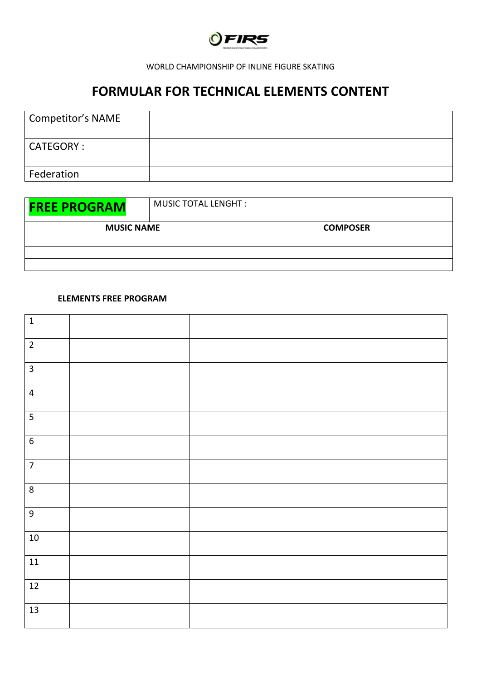

### WORLD CHAMPIONSHIP OF INLINE FIGURE SKATING

# **FORMULAR FOR TECHNICAL ELEMENTS CONTENT**

| Competitor's NAME |  |
|-------------------|--|
| CATEGORY :        |  |
| Federation        |  |

| <b>FREE PROGRAM</b> | <b>MUSIC TOTAL LENGHT:</b> |  |
|---------------------|----------------------------|--|
| <b>MUSIC NAME</b>   | <b>COMPOSER</b>            |  |
|                     |                            |  |
|                     |                            |  |
|                     |                            |  |

### **ELEMENTS FREE PROGRAM**

| $\mathbf 1$             |  |
|-------------------------|--|
| $\overline{2}$          |  |
| $\overline{3}$          |  |
| $\overline{4}$          |  |
| $\overline{\mathbf{5}}$ |  |
| $\sqrt{6}$              |  |
| $\overline{7}$          |  |
| $\bf 8$                 |  |
| $\boldsymbol{9}$        |  |
| $10\,$                  |  |
| $\boxed{11}$            |  |
| $12\,$                  |  |
| $\overline{13}$         |  |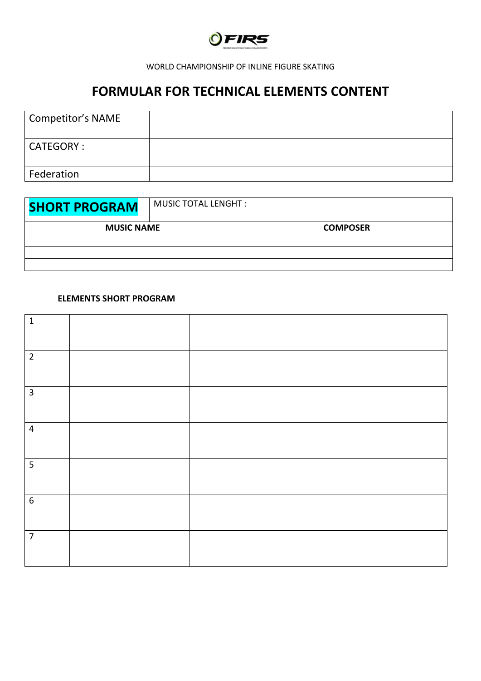

### WORLD CHAMPIONSHIP OF INLINE FIGURE SKATING

# **FORMULAR FOR TECHNICAL ELEMENTS CONTENT**

| Competitor's NAME |  |
|-------------------|--|
| CATEGORY :        |  |
| Federation        |  |

| <b>SHORT PROGRAM</b> | <b>MUSIC TOTAL LENGHT:</b> |                 |
|----------------------|----------------------------|-----------------|
| <b>MUSIC NAME</b>    |                            | <b>COMPOSER</b> |
|                      |                            |                 |
|                      |                            |                 |
|                      |                            |                 |

## **ELEMENTS SHORT PROGRAM**

| $\mathbf 1$    |  |
|----------------|--|
| $\overline{2}$ |  |
| $\overline{3}$ |  |
| $\overline{4}$ |  |
| 5              |  |
| $6\,$          |  |
| $\overline{7}$ |  |